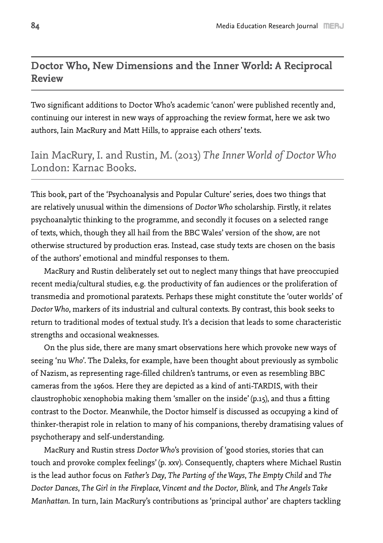# **Doctor Who, New Dimensions and the Inner World: A Reciprocal Review**

Two significant additions to Doctor Who's academic 'canon' were published recently and, continuing our interest in new ways of approaching the review format, here we ask two authors, Iain MacRury and Matt Hills, to appraise each others' texts.

# Iain MacRury, I. and Rustin, M. (2013) *The Inner World of Doctor Who* London: Karnac Books.

This book, part of the 'Psychoanalysis and Popular Culture' series, does two things that are relatively unusual within the dimensions of *Doctor Who* scholarship. Firstly, it relates psychoanalytic thinking to the programme, and secondly it focuses on a selected range of texts, which, though they all hail from the BBC Wales' version of the show, are not otherwise structured by production eras. Instead, case study texts are chosen on the basis of the authors' emotional and mindful responses to them.

MacRury and Rustin deliberately set out to neglect many things that have preoccupied recent media/cultural studies, e.g. the productivity of fan audiences or the proliferation of transmedia and promotional paratexts. Perhaps these might constitute the 'outer worlds' of *Doctor Who*, markers of its industrial and cultural contexts. By contrast, this book seeks to return to traditional modes of textual study. It's a decision that leads to some characteristic strengths and occasional weaknesses.

On the plus side, there are many smart observations here which provoke new ways of seeing 'nu *Who*'. The Daleks, for example, have been thought about previously as symbolic of Nazism, as representing rage-filled children's tantrums, or even as resembling BBC cameras from the 1960s. Here they are depicted as a kind of anti-TARDIS, with their claustrophobic xenophobia making them 'smaller on the inside' (p.15), and thus a fitting contrast to the Doctor. Meanwhile, the Doctor himself is discussed as occupying a kind of thinker-therapist role in relation to many of his companions, thereby dramatising values of psychotherapy and self-understanding.

MacRury and Rustin stress *Doctor Who*'s provision of 'good stories, stories that can touch and provoke complex feelings' (p. xxv). Consequently, chapters where Michael Rustin is the lead author focus on *Father's Day*, *The Parting of the Ways*, *The Empty Child* and *The Doctor Dances*, *The Girl in the Fireplace*, *Vincent and the Doctor*, *Blink*, and *The Angels Take Manhattan*. In turn, Iain MacRury's contributions as 'principal author' are chapters tackling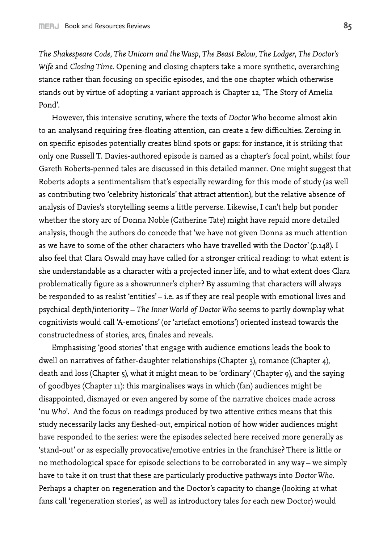*The Shakespeare Code*, *The Unicorn and the Wasp*, *The Beast Below*, *The Lodger*, *The Doctor's Wife* and *Closing Time*. Opening and closing chapters take a more synthetic, overarching stance rather than focusing on specific episodes, and the one chapter which otherwise stands out by virtue of adopting a variant approach is Chapter 12, 'The Story of Amelia Pond'.

However, this intensive scrutiny, where the texts of *Doctor Who* become almost akin to an analysand requiring free-floating attention, can create a few difficulties. Zeroing in on specific episodes potentially creates blind spots or gaps: for instance, it is striking that only one Russell T. Davies-authored episode is named as a chapter's focal point, whilst four Gareth Roberts-penned tales are discussed in this detailed manner. One might suggest that Roberts adopts a sentimentalism that's especially rewarding for this mode of study (as well as contributing two 'celebrity historicals' that attract attention), but the relative absence of analysis of Davies's storytelling seems a little perverse. Likewise, I can't help but ponder whether the story arc of Donna Noble (Catherine Tate) might have repaid more detailed analysis, though the authors do concede that 'we have not given Donna as much attention as we have to some of the other characters who have travelled with the Doctor' (p.148). I also feel that Clara Oswald may have called for a stronger critical reading: to what extent is she understandable as a character with a projected inner life, and to what extent does Clara problematically figure as a showrunner's cipher? By assuming that characters will always be responded to as realist 'entities' - i.e. as if they are real people with emotional lives and psychical depth/interiority – *The Inner World of Doctor Who* seems to partly downplay what cognitivists would call 'A-emotions' (or 'artefact emotions') oriented instead towards the constructedness of stories, arcs, finales and reveals.

Emphasising 'good stories' that engage with audience emotions leads the book to dwell on narratives of father-daughter relationships (Chapter 3), romance (Chapter 4), death and loss (Chapter 5), what it might mean to be 'ordinary' (Chapter 9), and the saying of goodbyes (Chapter 11): this marginalises ways in which (fan) audiences might be disappointed, dismayed or even angered by some of the narrative choices made across 'nu *Who*'. And the focus on readings produced by two attentive critics means that this study necessarily lacks any fleshed-out, empirical notion of how wider audiences might have responded to the series: were the episodes selected here received more generally as 'stand-out' or as especially provocative/emotive entries in the franchise? There is little or no methodological space for episode selections to be corroborated in any way – we simply have to take it on trust that these are particularly productive pathways into *Doctor Who*. Perhaps a chapter on regeneration and the Doctor's capacity to change (looking at what fans call 'regeneration stories', as well as introductory tales for each new Doctor) would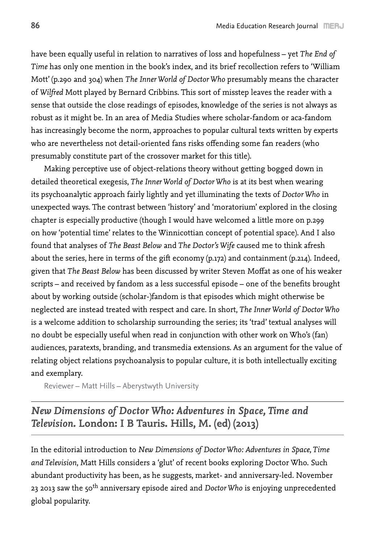have been equally useful in relation to narratives of loss and hopefulness – yet *The End of Time* has only one mention in the book's index, and its brief recollection refers to 'William Mott' (p.290 and 304) when *The Inner World of Doctor Who* presumably means the character of *Wilfred* Mott played by Bernard Cribbins. This sort of misstep leaves the reader with a sense that outside the close readings of episodes, knowledge of the series is not always as robust as it might be. In an area of Media Studies where scholar-fandom or aca-fandom has increasingly become the norm, approaches to popular cultural texts written by experts who are nevertheless not detail-oriented fans risks offending some fan readers (who presumably constitute part of the crossover market for this title).

Making perceptive use of object-relations theory without getting bogged down in detailed theoretical exegesis, *The Inner World of Doctor Who* is at its best when wearing its psychoanalytic approach fairly lightly and yet illuminating the texts of *Doctor Who* in unexpected ways. The contrast between 'history' and 'moratorium' explored in the closing chapter is especially productive (though I would have welcomed a little more on p.299 on how 'potential time' relates to the Winnicottian concept of potential space). And I also found that analyses of *The Beast Below* and *The Doctor's Wife* caused me to think afresh about the series, here in terms of the gift economy (p.172) and containment (p.214). Indeed, given that *The Beast Below* has been discussed by writer Steven Moffat as one of his weaker scripts – and received by fandom as a less successful episode – one of the benefits brought about by working outside (scholar-)fandom is that episodes which might otherwise be neglected are instead treated with respect and care. In short, *The Inner World of Doctor Who* is a welcome addition to scholarship surrounding the series; its 'trad' textual analyses will no doubt be especially useful when read in conjunction with other work on Who's (fan) audiences, paratexts, branding, and transmedia extensions. As an argument for the value of relating object relations psychoanalysis to popular culture, it is both intellectually exciting and exemplary.

Reviewer – Matt Hills – Aberystwyth University

### *New Dimensions of Doctor Who: Adventures in Space, Time and Television.* **London: I B Tauris. Hills, M. (ed) (2013)**

In the editorial introduction to *New Dimensions of Doctor Who: Adventures in Space, Time and Television*, Matt Hills considers a 'glut' of recent books exploring Doctor Who. Such abundant productivity has been, as he suggests, market- and anniversary-led. November 23 2013 saw the 50th anniversary episode aired and *Doctor Who* is enjoying unprecedented global popularity.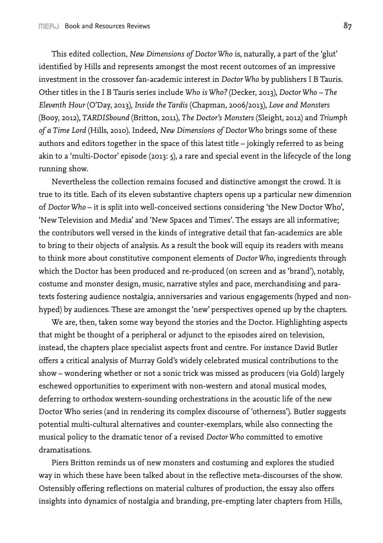This edited collection, *New Dimensions of Doctor Who* is, naturally, a part of the 'glut' identified by Hills and represents amongst the most recent outcomes of an impressive investment in the crossover fan-academic interest in *Doctor Who* by publishers I B Tauris. Other titles in the I B Tauris series include *Who is Who?* (Decker, 2013), *Doctor Who – The Eleventh Hour* (O'Day, 2013), *Inside the Tardis* (Chapman, 2006/2013), *Love and Monsters* (Booy, 2012), *TARDISbound* (Britton, 2011), *The Doctor's Monsters* (Sleight, 2012) and *Triumph of a Time Lord* (Hills, 2010). Indeed, *New Dimensions of Doctor Who* brings some of these authors and editors together in the space of this latest title – jokingly referred to as being akin to a 'multi-Doctor' episode (2013: 5), a rare and special event in the lifecycle of the long running show.

Nevertheless the collection remains focused and distinctive amongst the crowd. It is true to its title. Each of its eleven substantive chapters opens up a particular new dimension of *Doctor Who* – it is split into well-conceived sections considering 'the New Doctor Who', 'New Television and Media' and 'New Spaces and Times'. The essays are all informative; the contributors well versed in the kinds of integrative detail that fan-academics are able to bring to their objects of analysis. As a result the book will equip its readers with means to think more about constitutive component elements of *Doctor Who*, ingredients through which the Doctor has been produced and re-produced (on screen and as 'brand'), notably, costume and monster design, music, narrative styles and pace, merchandising and paratexts fostering audience nostalgia, anniversaries and various engagements (hyped and nonhyped) by audiences. These are amongst the 'new' perspectives opened up by the chapters.

We are, then, taken some way beyond the stories and the Doctor. Highlighting aspects that might be thought of a peripheral or adjunct to the episodes aired on television, instead, the chapters place specialist aspects front and centre. For instance David Butler offers a critical analysis of Murray Gold's widely celebrated musical contributions to the show – wondering whether or not a sonic trick was missed as producers (via Gold) largely eschewed opportunities to experiment with non-western and atonal musical modes, deferring to orthodox western-sounding orchestrations in the acoustic life of the new Doctor Who series (and in rendering its complex discourse of 'otherness'). Butler suggests potential multi-cultural alternatives and counter-exemplars, while also connecting the musical policy to the dramatic tenor of a revised *Doctor Who* committed to emotive dramatisations.

Piers Britton reminds us of new monsters and costuming and explores the studied way in which these have been talked about in the reflective meta-discourses of the show. Ostensibly offering reflections on material cultures of production, the essay also offers insights into dynamics of nostalgia and branding, pre-empting later chapters from Hills,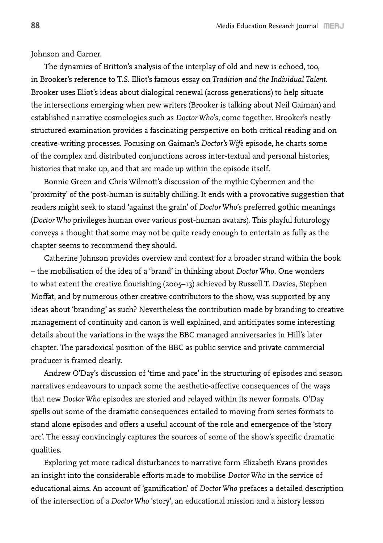Johnson and Garner.

The dynamics of Britton's analysis of the interplay of old and new is echoed, too, in Brooker's reference to T.S. Eliot's famous essay on *Tradition and the Individual Talent*. Brooker uses Eliot's ideas about dialogical renewal (across generations) to help situate the intersections emerging when new writers (Brooker is talking about Neil Gaiman) and established narrative cosmologies such as *Doctor Who*'s, come together. Brooker's neatly structured examination provides a fascinating perspective on both critical reading and on creative-writing processes. Focusing on Gaiman's *Doctor's Wife* episode, he charts some of the complex and distributed conjunctions across inter-textual and personal histories, histories that make up, and that are made up within the episode itself.

Bonnie Green and Chris Wilmott's discussion of the mythic Cybermen and the 'proximity' of the post-human is suitably chilling. It ends with a provocative suggestion that readers might seek to stand 'against the grain' of *Doctor Who*'s preferred gothic meanings (*Doctor Who* privileges human over various post-human avatars). This playful futurology conveys a thought that some may not be quite ready enough to entertain as fully as the chapter seems to recommend they should.

Catherine Johnson provides overview and context for a broader strand within the book – the mobilisation of the idea of a 'brand' in thinking about *Doctor Who*. One wonders to what extent the creative flourishing (2005–13) achieved by Russell T. Davies, Stephen Moffat, and by numerous other creative contributors to the show, was supported by any ideas about 'branding' as such? Nevertheless the contribution made by branding to creative management of continuity and canon is well explained, and anticipates some interesting details about the variations in the ways the BBC managed anniversaries in Hill's later chapter. The paradoxical position of the BBC as public service and private commercial producer is framed clearly.

Andrew O'Day's discussion of 'time and pace' in the structuring of episodes and season narratives endeavours to unpack some the aesthetic-affective consequences of the ways that new *Doctor Who* episodes are storied and relayed within its newer formats. O'Day spells out some of the dramatic consequences entailed to moving from series formats to stand alone episodes and offers a useful account of the role and emergence of the 'story arc'. The essay convincingly captures the sources of some of the show's specific dramatic qualities.

Exploring yet more radical disturbances to narrative form Elizabeth Evans provides an insight into the considerable efforts made to mobilise *Doctor Who* in the service of educational aims. An account of 'gamification' of *Doctor Who* prefaces a detailed description of the intersection of a *Doctor Who* 'story', an educational mission and a history lesson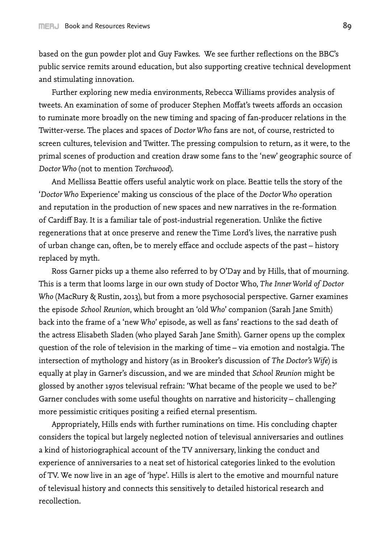based on the gun powder plot and Guy Fawkes. We see further reflections on the BBC's public service remits around education, but also supporting creative technical development and stimulating innovation.

Further exploring new media environments, Rebecca Williams provides analysis of tweets. An examination of some of producer Stephen Moffat's tweets affords an occasion to ruminate more broadly on the new timing and spacing of fan-producer relations in the Twitter-verse. The places and spaces of *Doctor Who* fans are not, of course, restricted to screen cultures, television and Twitter. The pressing compulsion to return, as it were, to the primal scenes of production and creation draw some fans to the 'new' geographic source of *Doctor Who* (not to mention *Torchwood*).

And Mellissa Beattie offers useful analytic work on place. Beattie tells the story of the '*Doctor Who* Experience' making us conscious of the place of the *Doctor Who* operation and reputation in the production of new spaces and new narratives in the re-formation of Cardiff Bay. It is a familiar tale of post-industrial regeneration. Unlike the fictive regenerations that at once preserve and renew the Time Lord's lives, the narrative push of urban change can, often, be to merely efface and occlude aspects of the past – history replaced by myth.

Ross Garner picks up a theme also referred to by O'Day and by Hills, that of mourning. This is a term that looms large in our own study of Doctor Who, *The Inner World of Doctor Who* (MacRury & Rustin, 2013), but from a more psychosocial perspective. Garner examines the episode *School Reunion*, which brought an 'old *Who*' companion (Sarah Jane Smith) back into the frame of a 'new *Who*' episode, as well as fans' reactions to the sad death of the actress Elisabeth Sladen (who played Sarah Jane Smith). Garner opens up the complex question of the role of television in the marking of time – via emotion and nostalgia. The intersection of mythology and history (as in Brooker's discussion of *The Doctor's Wife*) is equally at play in Garner's discussion, and we are minded that *School Reunion* might be glossed by another 1970s televisual refrain: 'What became of the people we used to be?' Garner concludes with some useful thoughts on narrative and historicity – challenging more pessimistic critiques positing a reified eternal presentism.

Appropriately, Hills ends with further ruminations on time. His concluding chapter considers the topical but largely neglected notion of televisual anniversaries and outlines a kind of historiographical account of the TV anniversary, linking the conduct and experience of anniversaries to a neat set of historical categories linked to the evolution of TV. We now live in an age of 'hype'. Hills is alert to the emotive and mournful nature of televisual history and connects this sensitively to detailed historical research and recollection.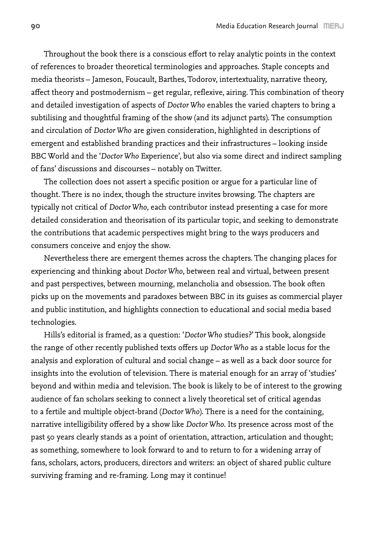Throughout the book there is a conscious effort to relay analytic points in the context of references to broader theoretical terminologies and approaches. Staple concepts and media theorists – Jameson, Foucault, Barthes, Todorov, intertextuality, narrative theory, affect theory and postmodernism – get regular, reflexive, airing. This combination of theory and detailed investigation of aspects of *Doctor Who* enables the varied chapters to bring a subtilising and thoughtful framing of the show (and its adjunct parts). The consumption and circulation of *Doctor Who* are given consideration, highlighted in descriptions of emergent and established branding practices and their infrastructures – looking inside BBC World and the '*Doctor Who* Experience', but also via some direct and indirect sampling of fans' discussions and discourses – notably on Twitter.

The collection does not assert a specific position or argue for a particular line of thought. There is no index, though the structure invites browsing. The chapters are typically not critical of *Doctor Who*, each contributor instead presenting a case for more detailed consideration and theorisation of its particular topic, and seeking to demonstrate the contributions that academic perspectives might bring to the ways producers and consumers conceive and enjoy the show.

Nevertheless there are emergent themes across the chapters. The changing places for experiencing and thinking about *Doctor Who*, between real and virtual, between present and past perspectives, between mourning, melancholia and obsession. The book often picks up on the movements and paradoxes between BBC in its guises as commercial player and public institution, and highlights connection to educational and social media based technologies.

Hills's editorial is framed, as a question: '*Doctor Who* studies?' This book, alongside the range of other recently published texts offers up *Doctor Who* as a stable locus for the analysis and exploration of cultural and social change – as well as a back door source for insights into the evolution of television. There is material enough for an array of 'studies' beyond and within media and television. The book is likely to be of interest to the growing audience of fan scholars seeking to connect a lively theoretical set of critical agendas to a fertile and multiple object-brand (*Doctor Who*). There is a need for the containing, narrative intelligibility offered by a show like *Doctor Who*. Its presence across most of the past 50 years clearly stands as a point of orientation, attraction, articulation and thought; as something, somewhere to look forward to and to return to for a widening array of fans, scholars, actors, producers, directors and writers: an object of shared public culture surviving framing and re-framing. Long may it continue!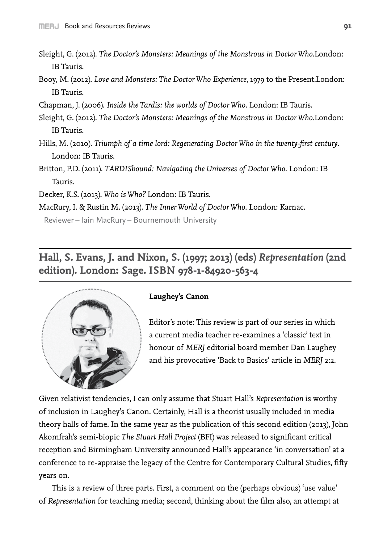- Sleight, G. (2012). *The Doctor's Monsters: Meanings of the Monstrous in Doctor Who*.London: IB Tauris.
- Booy, M. (2012). *Love and Monsters: The Doctor Who Experience*, 1979 to the Present.London: IB Tauris.
- Chapman, J. (2006). *Inside the Tardis: the worlds of Doctor Who*. London: IB Tauris.
- Sleight, G. (2012). *The Doctor's Monsters: Meanings of the Monstrous in Doctor Who*.London: IB Tauris.
- Hills, M. (2010). *Triumph of a time lord: Regenerating Doctor Who in the twenty-first century*. London: IB Tauris.
- Britton, P.D. (2011). *TARDISbound: Navigating the Universes of Doctor Who*. London: IB Tauris.
- Decker, K.S. (2013). *Who is Who?* London: IB Tauris.
- MacRury, I. & Rustin M. (2013). *The Inner World of Doctor Who*. London: Karnac.

Reviewer – Iain MacRury – Bournemouth University

**Hall, S. Evans, J. and Nixon, S. (1997; 2013) (eds)** *Representation* **(2nd edition). London: Sage. ISBN 978-1-84920-563-4**



#### **Laughey's Canon**

Editor's note: This review is part of our series in which a current media teacher re-examines a 'classic' text in honour of *MERJ* editorial board member Dan Laughey and his provocative 'Back to Basics' article in *MERJ* 2:2.

Given relativist tendencies, I can only assume that Stuart Hall's *Representation* is worthy of inclusion in Laughey's Canon. Certainly, Hall is a theorist usually included in media theory halls of fame. In the same year as the publication of this second edition (2013), John Akomfrah's semi-biopic *The Stuart Hall Project* (BFI) was released to significant critical reception and Birmingham University announced Hall's appearance 'in conversation' at a conference to re-appraise the legacy of the Centre for Contemporary Cultural Studies, fifty years on.

This is a review of three parts. First, a comment on the (perhaps obvious) 'use value' of *Representation* for teaching media; second, thinking about the film also, an attempt at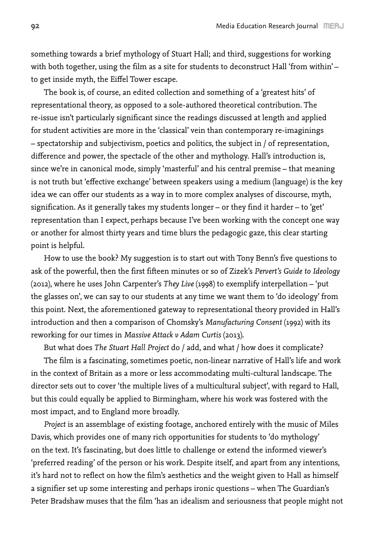something towards a brief mythology of Stuart Hall; and third, suggestions for working with both together, using the film as a site for students to deconstruct Hall 'from within' – to get inside myth, the Eiffel Tower escape.

The book is, of course, an edited collection and something of a 'greatest hits' of representational theory, as opposed to a sole-authored theoretical contribution. The re-issue isn't particularly significant since the readings discussed at length and applied for student activities are more in the 'classical' vein than contemporary re-imaginings – spectatorship and subjectivism, poetics and politics, the subject in / of representation, difference and power, the spectacle of the other and mythology. Hall's introduction is, since we're in canonical mode, simply 'masterful' and his central premise – that meaning is not truth but 'effective exchange' between speakers using a medium (language) is the key idea we can offer our students as a way in to more complex analyses of discourse, myth, signification. As it generally takes my students longer – or they find it harder – to 'get' representation than I expect, perhaps because I've been working with the concept one way or another for almost thirty years and time blurs the pedagogic gaze, this clear starting point is helpful.

How to use the book? My suggestion is to start out with Tony Benn's five questions to ask of the powerful, then the first fifteen minutes or so of Zizek's *Pervert's Guide to Ideology* (2012), where he uses John Carpenter's *They Live* (1998) to exemplify interpellation – 'put the glasses on', we can say to our students at any time we want them to 'do ideology' from this point. Next, the aforementioned gateway to representational theory provided in Hall's introduction and then a comparison of Chomsky's *Manufacturing Consent* (1992) with its reworking for our times in *Massive Attack v Adam Curtis* (2013).

But what does *The Stuart Hall Project* do / add, and what / how does it complicate? The film is a fascinating, sometimes poetic, non-linear narrative of Hall's life and work in the context of Britain as a more or less accommodating multi-cultural landscape. The director sets out to cover 'the multiple lives of a multicultural subject', with regard to Hall, but this could equally be applied to Birmingham, where his work was fostered with the most impact, and to England more broadly.

*Project* is an assemblage of existing footage, anchored entirely with the music of Miles Davis, which provides one of many rich opportunities for students to 'do mythology' on the text. It's fascinating, but does little to challenge or extend the informed viewer's 'preferred reading' of the person or his work. Despite itself, and apart from any intentions, it's hard not to reflect on how the film's aesthetics and the weight given to Hall as himself a signifier set up some interesting and perhaps ironic questions – when The Guardian's Peter Bradshaw muses that the film 'has an idealism and seriousness that people might not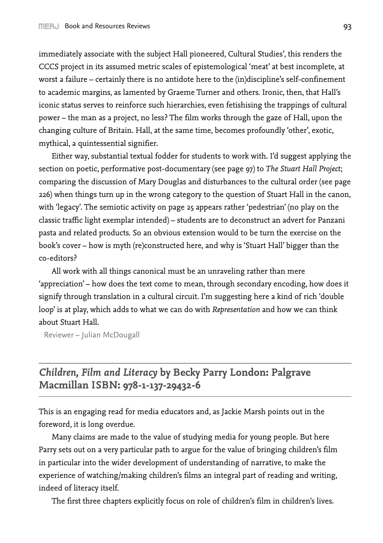immediately associate with the subject Hall pioneered, Cultural Studies', this renders the CCCS project in its assumed metric scales of epistemological 'meat' at best incomplete, at worst a failure – certainly there is no antidote here to the (in)discipline's self-confinement to academic margins, as lamented by Graeme Turner and others. Ironic, then, that Hall's iconic status serves to reinforce such hierarchies, even fetishising the trappings of cultural power – the man as a project, no less? The film works through the gaze of Hall, upon the changing culture of Britain. Hall, at the same time, becomes profoundly 'other', exotic, mythical, a quintessential signifier.

Either way, substantial textual fodder for students to work with. I'd suggest applying the section on poetic, performative post-documentary (see page 97) to *The Stuart Hall Project*; comparing the discussion of Mary Douglas and disturbances to the cultural order (see page 226) when things turn up in the wrong category to the question of Stuart Hall in the canon, with 'legacy'. The semiotic activity on page 25 appears rather 'pedestrian' (no play on the classic traffic light exemplar intended) – students are to deconstruct an advert for Panzani pasta and related products. So an obvious extension would to be turn the exercise on the book's cover – how is myth (re)constructed here, and why is 'Stuart Hall' bigger than the co-editors?

All work with all things canonical must be an unraveling rather than mere 'appreciation' – how does the text come to mean, through secondary encoding, how does it signify through translation in a cultural circuit. I'm suggesting here a kind of rich 'double loop' is at play, which adds to what we can do with *Representation* and how we can think about Stuart Hall.

Reviewer – Julian McDougall

# *Children, Film and Literacy* **by Becky Parry London: Palgrave Macmillan ISBN: 978-1-137-29432-6**

This is an engaging read for media educators and, as Jackie Marsh points out in the foreword, it is long overdue.

Many claims are made to the value of studying media for young people. But here Parry sets out on a very particular path to argue for the value of bringing children's film in particular into the wider development of understanding of narrative, to make the experience of watching/making children's films an integral part of reading and writing, indeed of literacy itself.

The first three chapters explicitly focus on role of children's film in children's lives.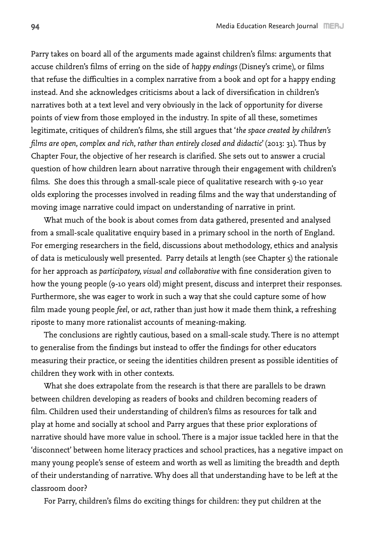Parry takes on board all of the arguments made against children's films: arguments that accuse children's films of erring on the side of *happy endings* (Disney's crime), or films that refuse the difficulties in a complex narrative from a book and opt for a happy ending instead. And she acknowledges criticisms about a lack of diversification in children's narratives both at a text level and very obviously in the lack of opportunity for diverse points of view from those employed in the industry. In spite of all these, sometimes legitimate, critiques of children's films, she still argues that '*the space created by children's films are open, complex and rich, rather than entirely closed and didactic*' (2013: 31). Thus by Chapter Four, the objective of her research is clarified. She sets out to answer a crucial question of how children learn about narrative through their engagement with children's films. She does this through a small-scale piece of qualitative research with 9-10 year olds exploring the processes involved in reading films and the way that understanding of moving image narrative could impact on understanding of narrative in print.

What much of the book is about comes from data gathered, presented and analysed from a small-scale qualitative enquiry based in a primary school in the north of England. For emerging researchers in the field, discussions about methodology, ethics and analysis of data is meticulously well presented. Parry details at length (see Chapter  $\varsigma$ ) the rationale for her approach as *participatory, visual and collaborative* with fine consideration given to how the young people (9-10 years old) might present, discuss and interpret their responses. Furthermore, she was eager to work in such a way that she could capture some of how film made young people *feel*, or *act*, rather than just how it made them think, a refreshing riposte to many more rationalist accounts of meaning-making.

The conclusions are rightly cautious, based on a small-scale study. There is no attempt to generalise from the findings but instead to offer the findings for other educators measuring their practice, or seeing the identities children present as possible identities of children they work with in other contexts.

What she does extrapolate from the research is that there are parallels to be drawn between children developing as readers of books and children becoming readers of film. Children used their understanding of children's films as resources for talk and play at home and socially at school and Parry argues that these prior explorations of narrative should have more value in school. There is a major issue tackled here in that the 'disconnect' between home literacy practices and school practices, has a negative impact on many young people's sense of esteem and worth as well as limiting the breadth and depth of their understanding of narrative. Why does all that understanding have to be left at the classroom door?

For Parry, children's films do exciting things for children: they put children at the